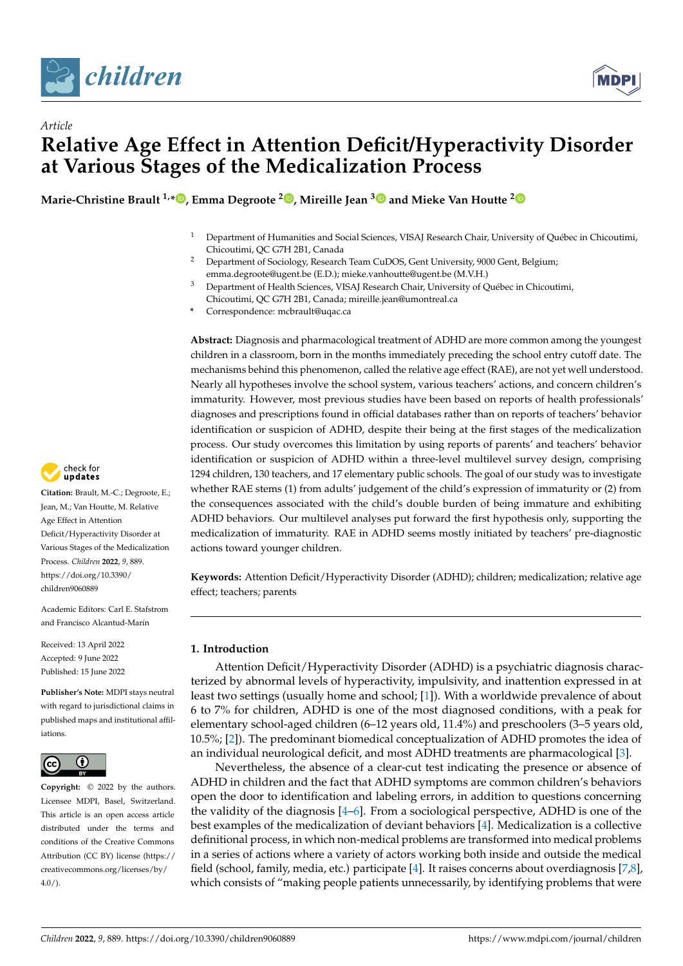

*Article*



# **Relative Age Effect in Attention Deficit/Hyperactivity Disorder at Various Stages of the Medicalization Process**

**Marie-Christine Brault 1,[\\*](https://orcid.org/0000-0002-8297-1040) , Emma Degroote <sup>2</sup> [,](https://orcid.org/0000-0003-3739-0615) Mireille Jean [3](https://orcid.org/0000-0003-2404-1002) and Mieke Van Houtte [2](https://orcid.org/0000-0002-5425-6138)**

- <sup>1</sup> Department of Humanities and Social Sciences, VISAJ Research Chair, University of Québec in Chicoutimi, Chicoutimi, QC G7H 2B1, Canada
- <sup>2</sup> Department of Sociology, Research Team CuDOS, Gent University, 9000 Gent, Belgium; emma.degroote@ugent.be (E.D.); mieke.vanhoutte@ugent.be (M.V.H.)
- <sup>3</sup> Department of Health Sciences, VISAJ Research Chair, University of Québec in Chicoutimi, Chicoutimi, QC G7H 2B1, Canada; mireille.jean@umontreal.ca
- **\*** Correspondence: mcbrault@uqac.ca

**Abstract:** Diagnosis and pharmacological treatment of ADHD are more common among the youngest children in a classroom, born in the months immediately preceding the school entry cutoff date. The mechanisms behind this phenomenon, called the relative age effect (RAE), are not yet well understood. Nearly all hypotheses involve the school system, various teachers' actions, and concern children's immaturity. However, most previous studies have been based on reports of health professionals' diagnoses and prescriptions found in official databases rather than on reports of teachers' behavior identification or suspicion of ADHD, despite their being at the first stages of the medicalization process. Our study overcomes this limitation by using reports of parents' and teachers' behavior identification or suspicion of ADHD within a three-level multilevel survey design, comprising 1294 children, 130 teachers, and 17 elementary public schools. The goal of our study was to investigate whether RAE stems (1) from adults' judgement of the child's expression of immaturity or (2) from the consequences associated with the child's double burden of being immature and exhibiting ADHD behaviors. Our multilevel analyses put forward the first hypothesis only, supporting the medicalization of immaturity. RAE in ADHD seems mostly initiated by teachers' pre-diagnostic actions toward younger children.

**Keywords:** Attention Deficit/Hyperactivity Disorder (ADHD); children; medicalization; relative age effect; teachers; parents

# **1. Introduction**

Attention Deficit/Hyperactivity Disorder (ADHD) is a psychiatric diagnosis characterized by abnormal levels of hyperactivity, impulsivity, and inattention expressed in at least two settings (usually home and school; [\[1\]](#page-11-0)). With a worldwide prevalence of about 6 to 7% for children, ADHD is one of the most diagnosed conditions, with a peak for elementary school-aged children (6–12 years old, 11.4%) and preschoolers (3–5 years old, 10.5%; [\[2\]](#page-11-1)). The predominant biomedical conceptualization of ADHD promotes the idea of an individual neurological deficit, and most ADHD treatments are pharmacological [\[3\]](#page-11-2).

Nevertheless, the absence of a clear-cut test indicating the presence or absence of ADHD in children and the fact that ADHD symptoms are common children's behaviors open the door to identification and labeling errors, in addition to questions concerning the validity of the diagnosis [\[4](#page-12-0)[–6\]](#page-12-1). From a sociological perspective, ADHD is one of the best examples of the medicalization of deviant behaviors [\[4\]](#page-12-0). Medicalization is a collective definitional process, in which non-medical problems are transformed into medical problems in a series of actions where a variety of actors working both inside and outside the medical field (school, family, media, etc.) participate [\[4\]](#page-12-0). It raises concerns about overdiagnosis [\[7](#page-12-2)[,8\]](#page-12-3), which consists of "making people patients unnecessarily, by identifying problems that were



**Citation:** Brault, M.-C.; Degroote, E.; Jean, M.; Van Houtte, M. Relative Age Effect in Attention Deficit/Hyperactivity Disorder at Various Stages of the Medicalization Process. *Children* **2022**, *9*, 889. [https://doi.org/10.3390/](https://doi.org/10.3390/children9060889) [children9060889](https://doi.org/10.3390/children9060889)

Academic Editors: Carl E. Stafstrom and Francisco Alcantud-Marín

Received: 13 April 2022 Accepted: 9 June 2022 Published: 15 June 2022

**Publisher's Note:** MDPI stays neutral with regard to jurisdictional claims in published maps and institutional affiliations.



**Copyright:** © 2022 by the authors. Licensee MDPI, Basel, Switzerland. This article is an open access article distributed under the terms and conditions of the Creative Commons Attribution (CC BY) license [\(https://](https://creativecommons.org/licenses/by/4.0/) [creativecommons.org/licenses/by/](https://creativecommons.org/licenses/by/4.0/)  $4.0/$ ).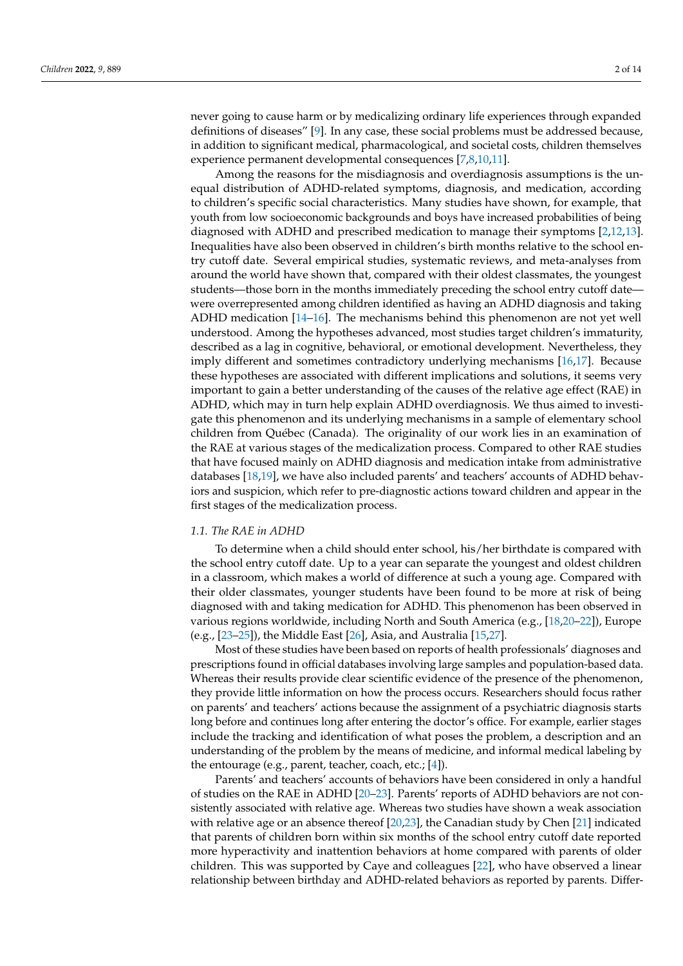never going to cause harm or by medicalizing ordinary life experiences through expanded definitions of diseases" [\[9\]](#page-12-4). In any case, these social problems must be addressed because, in addition to significant medical, pharmacological, and societal costs, children themselves experience permanent developmental consequences [\[7](#page-12-2)[,8](#page-12-3)[,10](#page-12-5)[,11\]](#page-12-6).

Among the reasons for the misdiagnosis and overdiagnosis assumptions is the unequal distribution of ADHD-related symptoms, diagnosis, and medication, according to children's specific social characteristics. Many studies have shown, for example, that youth from low socioeconomic backgrounds and boys have increased probabilities of being diagnosed with ADHD and prescribed medication to manage their symptoms [\[2,](#page-11-1)[12,](#page-12-7)[13\]](#page-12-8). Inequalities have also been observed in children's birth months relative to the school entry cutoff date. Several empirical studies, systematic reviews, and meta-analyses from around the world have shown that, compared with their oldest classmates, the youngest students—those born in the months immediately preceding the school entry cutoff date were overrepresented among children identified as having an ADHD diagnosis and taking ADHD medication [\[14–](#page-12-9)[16\]](#page-12-10). The mechanisms behind this phenomenon are not yet well understood. Among the hypotheses advanced, most studies target children's immaturity, described as a lag in cognitive, behavioral, or emotional development. Nevertheless, they imply different and sometimes contradictory underlying mechanisms [\[16,](#page-12-10)[17\]](#page-12-11). Because these hypotheses are associated with different implications and solutions, it seems very important to gain a better understanding of the causes of the relative age effect (RAE) in ADHD, which may in turn help explain ADHD overdiagnosis. We thus aimed to investigate this phenomenon and its underlying mechanisms in a sample of elementary school children from Québec (Canada). The originality of our work lies in an examination of the RAE at various stages of the medicalization process. Compared to other RAE studies that have focused mainly on ADHD diagnosis and medication intake from administrative databases [\[18,](#page-12-12)[19\]](#page-12-13), we have also included parents' and teachers' accounts of ADHD behaviors and suspicion, which refer to pre-diagnostic actions toward children and appear in the first stages of the medicalization process.

## *1.1. The RAE in ADHD*

To determine when a child should enter school, his/her birthdate is compared with the school entry cutoff date. Up to a year can separate the youngest and oldest children in a classroom, which makes a world of difference at such a young age. Compared with their older classmates, younger students have been found to be more at risk of being diagnosed with and taking medication for ADHD. This phenomenon has been observed in various regions worldwide, including North and South America (e.g., [\[18](#page-12-12)[,20–](#page-12-14)[22\]](#page-12-15)), Europe (e.g., [\[23–](#page-12-16)[25\]](#page-12-17)), the Middle East [\[26\]](#page-12-18), Asia, and Australia [\[15](#page-12-19)[,27\]](#page-12-20).

Most of these studies have been based on reports of health professionals' diagnoses and prescriptions found in official databases involving large samples and population-based data. Whereas their results provide clear scientific evidence of the presence of the phenomenon, they provide little information on how the process occurs. Researchers should focus rather on parents' and teachers' actions because the assignment of a psychiatric diagnosis starts long before and continues long after entering the doctor's office. For example, earlier stages include the tracking and identification of what poses the problem, a description and an understanding of the problem by the means of medicine, and informal medical labeling by the entourage (e.g., parent, teacher, coach, etc.;  $[4]$ ).

Parents' and teachers' accounts of behaviors have been considered in only a handful of studies on the RAE in ADHD [\[20–](#page-12-14)[23\]](#page-12-16). Parents' reports of ADHD behaviors are not consistently associated with relative age. Whereas two studies have shown a weak association with relative age or an absence thereof [\[20](#page-12-14)[,23\]](#page-12-16), the Canadian study by Chen [\[21\]](#page-12-21) indicated that parents of children born within six months of the school entry cutoff date reported more hyperactivity and inattention behaviors at home compared with parents of older children. This was supported by Caye and colleagues [\[22\]](#page-12-15), who have observed a linear relationship between birthday and ADHD-related behaviors as reported by parents. Differ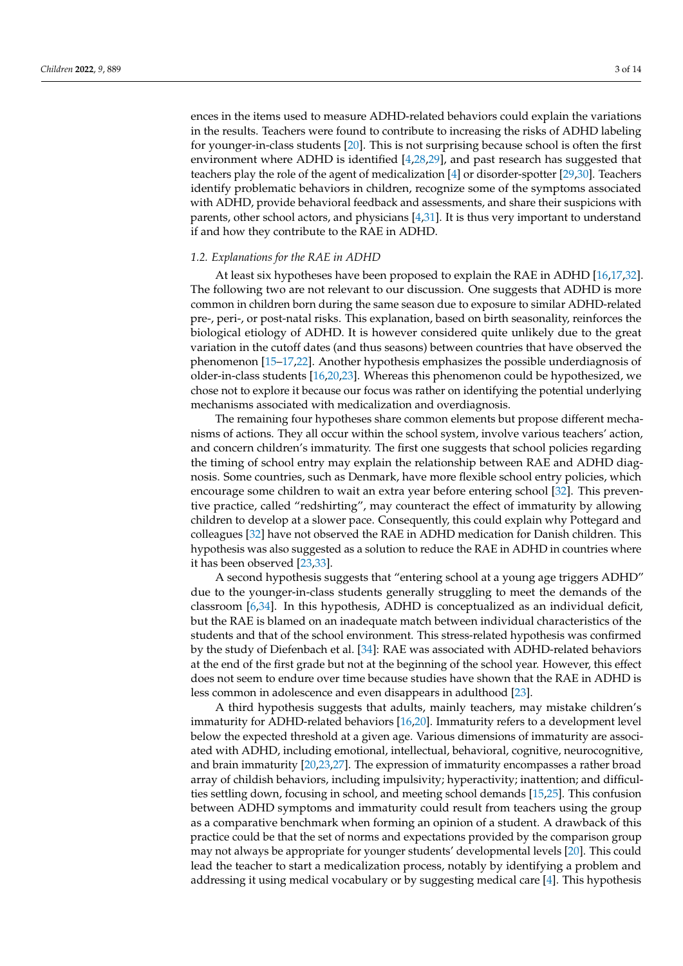ences in the items used to measure ADHD-related behaviors could explain the variations in the results. Teachers were found to contribute to increasing the risks of ADHD labeling for younger-in-class students [\[20\]](#page-12-14). This is not surprising because school is often the first environment where ADHD is identified [\[4,](#page-12-0)[28,](#page-12-22)[29\]](#page-12-23), and past research has suggested that teachers play the role of the agent of medicalization [\[4\]](#page-12-0) or disorder-spotter [\[29](#page-12-23)[,30\]](#page-12-24). Teachers identify problematic behaviors in children, recognize some of the symptoms associated with ADHD, provide behavioral feedback and assessments, and share their suspicions with parents, other school actors, and physicians [\[4,](#page-12-0)[31\]](#page-12-25). It is thus very important to understand if and how they contribute to the RAE in ADHD.

#### *1.2. Explanations for the RAE in ADHD*

At least six hypotheses have been proposed to explain the RAE in ADHD [\[16,](#page-12-10)[17,](#page-12-11)[32\]](#page-13-0). The following two are not relevant to our discussion. One suggests that ADHD is more common in children born during the same season due to exposure to similar ADHD-related pre-, peri-, or post-natal risks. This explanation, based on birth seasonality, reinforces the biological etiology of ADHD. It is however considered quite unlikely due to the great variation in the cutoff dates (and thus seasons) between countries that have observed the phenomenon [\[15](#page-12-19)[–17,](#page-12-11)[22\]](#page-12-15). Another hypothesis emphasizes the possible underdiagnosis of older-in-class students [\[16,](#page-12-10)[20,](#page-12-14)[23\]](#page-12-16). Whereas this phenomenon could be hypothesized, we chose not to explore it because our focus was rather on identifying the potential underlying mechanisms associated with medicalization and overdiagnosis.

The remaining four hypotheses share common elements but propose different mechanisms of actions. They all occur within the school system, involve various teachers' action, and concern children's immaturity. The first one suggests that school policies regarding the timing of school entry may explain the relationship between RAE and ADHD diagnosis. Some countries, such as Denmark, have more flexible school entry policies, which encourage some children to wait an extra year before entering school [\[32\]](#page-13-0). This preventive practice, called "redshirting", may counteract the effect of immaturity by allowing children to develop at a slower pace. Consequently, this could explain why Pottegard and colleagues [\[32\]](#page-13-0) have not observed the RAE in ADHD medication for Danish children. This hypothesis was also suggested as a solution to reduce the RAE in ADHD in countries where it has been observed [\[23,](#page-12-16)[33\]](#page-13-1).

A second hypothesis suggests that "entering school at a young age triggers ADHD" due to the younger-in-class students generally struggling to meet the demands of the classroom [\[6,](#page-12-1)[34\]](#page-13-2). In this hypothesis, ADHD is conceptualized as an individual deficit, but the RAE is blamed on an inadequate match between individual characteristics of the students and that of the school environment. This stress-related hypothesis was confirmed by the study of Diefenbach et al. [\[34\]](#page-13-2): RAE was associated with ADHD-related behaviors at the end of the first grade but not at the beginning of the school year. However, this effect does not seem to endure over time because studies have shown that the RAE in ADHD is less common in adolescence and even disappears in adulthood [\[23\]](#page-12-16).

A third hypothesis suggests that adults, mainly teachers, may mistake children's immaturity for ADHD-related behaviors [\[16,](#page-12-10)[20\]](#page-12-14). Immaturity refers to a development level below the expected threshold at a given age. Various dimensions of immaturity are associated with ADHD, including emotional, intellectual, behavioral, cognitive, neurocognitive, and brain immaturity [\[20](#page-12-14)[,23](#page-12-16)[,27\]](#page-12-20). The expression of immaturity encompasses a rather broad array of childish behaviors, including impulsivity; hyperactivity; inattention; and difficulties settling down, focusing in school, and meeting school demands [\[15](#page-12-19)[,25\]](#page-12-17). This confusion between ADHD symptoms and immaturity could result from teachers using the group as a comparative benchmark when forming an opinion of a student. A drawback of this practice could be that the set of norms and expectations provided by the comparison group may not always be appropriate for younger students' developmental levels [\[20\]](#page-12-14). This could lead the teacher to start a medicalization process, notably by identifying a problem and addressing it using medical vocabulary or by suggesting medical care [\[4\]](#page-12-0). This hypothesis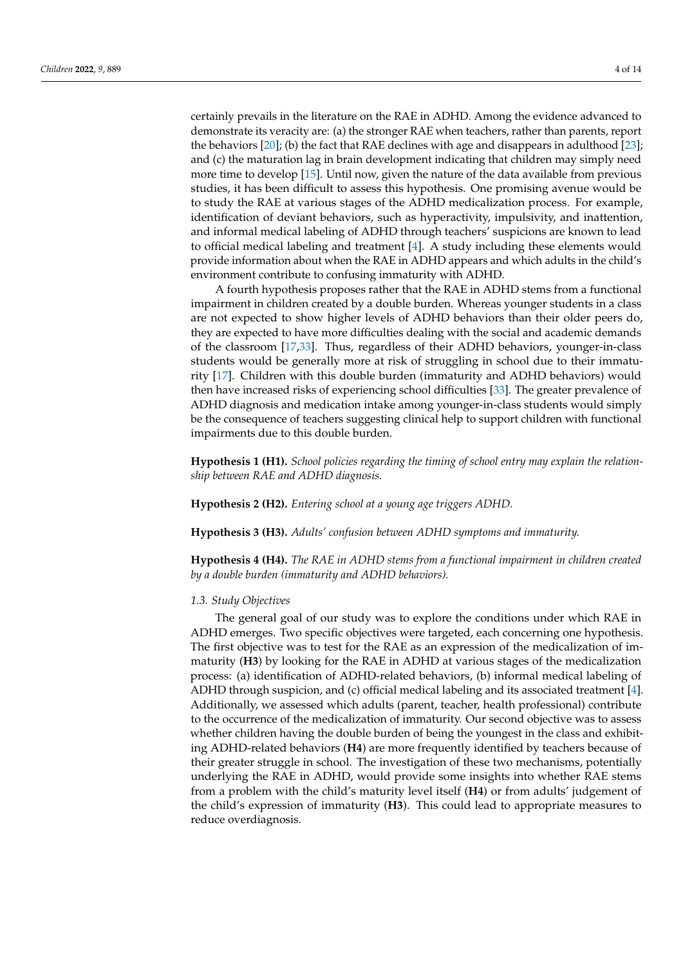certainly prevails in the literature on the RAE in ADHD. Among the evidence advanced to demonstrate its veracity are: (a) the stronger RAE when teachers, rather than parents, report the behaviors [\[20\]](#page-12-14); (b) the fact that RAE declines with age and disappears in adulthood [\[23\]](#page-12-16); and (c) the maturation lag in brain development indicating that children may simply need more time to develop [\[15\]](#page-12-19). Until now, given the nature of the data available from previous studies, it has been difficult to assess this hypothesis. One promising avenue would be to study the RAE at various stages of the ADHD medicalization process. For example, identification of deviant behaviors, such as hyperactivity, impulsivity, and inattention, and informal medical labeling of ADHD through teachers' suspicions are known to lead to official medical labeling and treatment [\[4\]](#page-12-0). A study including these elements would provide information about when the RAE in ADHD appears and which adults in the child's environment contribute to confusing immaturity with ADHD.

A fourth hypothesis proposes rather that the RAE in ADHD stems from a functional impairment in children created by a double burden. Whereas younger students in a class are not expected to show higher levels of ADHD behaviors than their older peers do, they are expected to have more difficulties dealing with the social and academic demands of the classroom [\[17,](#page-12-11)[33\]](#page-13-1). Thus, regardless of their ADHD behaviors, younger-in-class students would be generally more at risk of struggling in school due to their immaturity [\[17\]](#page-12-11). Children with this double burden (immaturity and ADHD behaviors) would then have increased risks of experiencing school difficulties [\[33\]](#page-13-1). The greater prevalence of ADHD diagnosis and medication intake among younger-in-class students would simply be the consequence of teachers suggesting clinical help to support children with functional impairments due to this double burden.

**Hypothesis 1 (H1).** *School policies regarding the timing of school entry may explain the relationship between RAE and ADHD diagnosis.*

**Hypothesis 2 (H2).** *Entering school at a young age triggers ADHD.*

**Hypothesis 3 (H3).** *Adults' confusion between ADHD symptoms and immaturity.*

**Hypothesis 4 (H4).** *The RAE in ADHD stems from a functional impairment in children created by a double burden (immaturity and ADHD behaviors).*

#### *1.3. Study Objectives*

The general goal of our study was to explore the conditions under which RAE in ADHD emerges. Two specific objectives were targeted, each concerning one hypothesis. The first objective was to test for the RAE as an expression of the medicalization of immaturity (**H3**) by looking for the RAE in ADHD at various stages of the medicalization process: (a) identification of ADHD-related behaviors, (b) informal medical labeling of ADHD through suspicion, and (c) official medical labeling and its associated treatment [\[4\]](#page-12-0). Additionally, we assessed which adults (parent, teacher, health professional) contribute to the occurrence of the medicalization of immaturity. Our second objective was to assess whether children having the double burden of being the youngest in the class and exhibiting ADHD-related behaviors (**H4**) are more frequently identified by teachers because of their greater struggle in school. The investigation of these two mechanisms, potentially underlying the RAE in ADHD, would provide some insights into whether RAE stems from a problem with the child's maturity level itself (**H4**) or from adults' judgement of the child's expression of immaturity (**H3**). This could lead to appropriate measures to reduce overdiagnosis.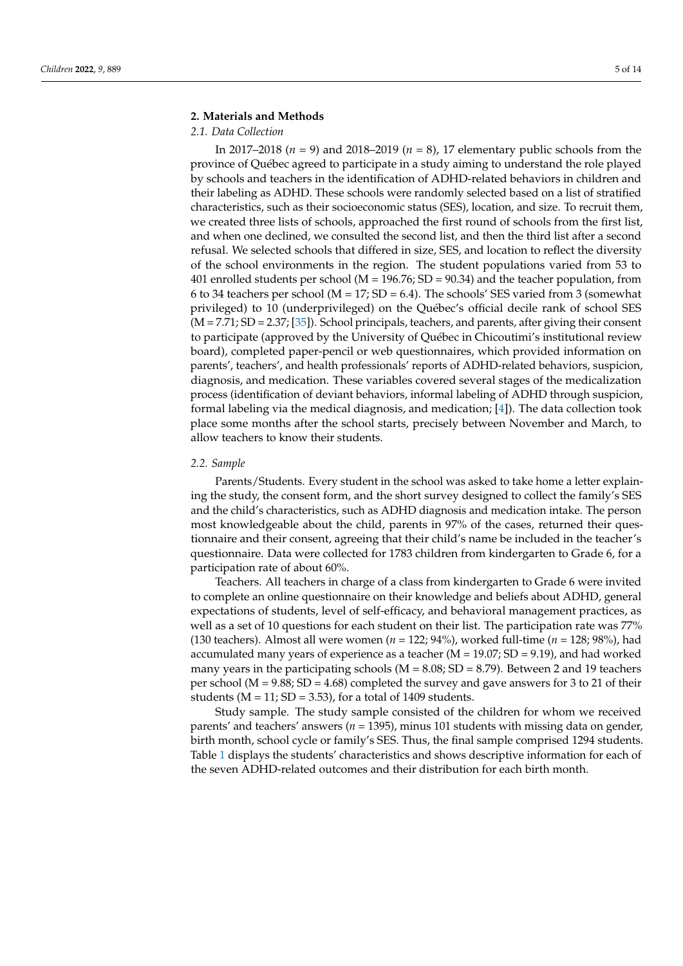# **2. Materials and Methods**

# *2.1. Data Collection*

In 2017–2018 (*n* = 9) and 2018–2019 (*n* = 8), 17 elementary public schools from the province of Québec agreed to participate in a study aiming to understand the role played by schools and teachers in the identification of ADHD-related behaviors in children and their labeling as ADHD. These schools were randomly selected based on a list of stratified characteristics, such as their socioeconomic status (SES), location, and size. To recruit them, we created three lists of schools, approached the first round of schools from the first list, and when one declined, we consulted the second list, and then the third list after a second refusal. We selected schools that differed in size, SES, and location to reflect the diversity of the school environments in the region. The student populations varied from 53 to 401 enrolled students per school ( $M = 196.76$ ; SD = 90.34) and the teacher population, from 6 to 34 teachers per school ( $M = 17$ ;  $SD = 6.4$ ). The schools' SES varied from 3 (somewhat privileged) to 10 (underprivileged) on the Québec's official decile rank of school SES  $(M = 7.71; SD = 2.37; [35])$  $(M = 7.71; SD = 2.37; [35])$  $(M = 7.71; SD = 2.37; [35])$ . School principals, teachers, and parents, after giving their consent to participate (approved by the University of Québec in Chicoutimi's institutional review board), completed paper-pencil or web questionnaires, which provided information on parents', teachers', and health professionals' reports of ADHD-related behaviors, suspicion, diagnosis, and medication. These variables covered several stages of the medicalization process (identification of deviant behaviors, informal labeling of ADHD through suspicion, formal labeling via the medical diagnosis, and medication; [\[4\]](#page-12-0)). The data collection took place some months after the school starts, precisely between November and March, to allow teachers to know their students.

#### *2.2. Sample*

Parents/Students. Every student in the school was asked to take home a letter explaining the study, the consent form, and the short survey designed to collect the family's SES and the child's characteristics, such as ADHD diagnosis and medication intake. The person most knowledgeable about the child, parents in 97% of the cases, returned their questionnaire and their consent, agreeing that their child's name be included in the teacher's questionnaire. Data were collected for 1783 children from kindergarten to Grade 6, for a participation rate of about 60%.

Teachers. All teachers in charge of a class from kindergarten to Grade 6 were invited to complete an online questionnaire on their knowledge and beliefs about ADHD, general expectations of students, level of self-efficacy, and behavioral management practices, as well as a set of 10 questions for each student on their list. The participation rate was 77% (130 teachers). Almost all were women (*n* = 122; 94%), worked full-time (*n* = 128; 98%), had accumulated many years of experience as a teacher  $(M = 19.07; SD = 9.19)$ , and had worked many years in the participating schools ( $M = 8.08$ ; SD = 8.79). Between 2 and 19 teachers per school ( $M = 9.88$ ;  $SD = 4.68$ ) completed the survey and gave answers for 3 to 21 of their students ( $M = 11$ ; SD = 3.53), for a total of 1409 students.

Study sample. The study sample consisted of the children for whom we received parents' and teachers' answers (*n* = 1395), minus 101 students with missing data on gender, birth month, school cycle or family's SES. Thus, the final sample comprised 1294 students. Table [1](#page-5-0) displays the students' characteristics and shows descriptive information for each of the seven ADHD-related outcomes and their distribution for each birth month.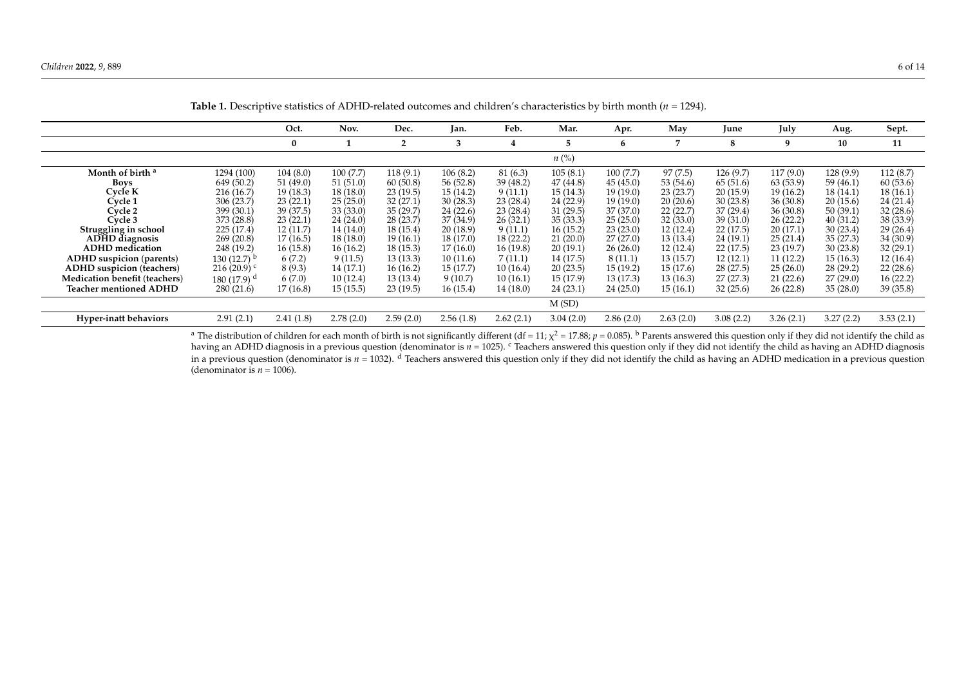|                                      |                          | Oct.      | Nov.      | Dec.           | Jan.      | Feb.      | Mar.      | Apr.      | May       | June      | July      | Aug.      | Sept.     |
|--------------------------------------|--------------------------|-----------|-----------|----------------|-----------|-----------|-----------|-----------|-----------|-----------|-----------|-----------|-----------|
|                                      |                          | $\bf{0}$  |           | $\overline{2}$ | 3         |           | 5         | h         |           | 8         | q         | 10        | 11        |
|                                      |                          |           |           |                |           |           | $n\ (\%)$ |           |           |           |           |           |           |
| Month of birth <sup>a</sup>          | 1294 (100)               | 104(8.0)  | 100(7.7)  | 118(9.1)       | 106(8.2)  | 81 (6.3)  | 105(8.1)  | 100(7.7)  | 97(7.5)   | 126(9.7)  | 117(9.0)  | 128(9.9)  | 112(8.7)  |
| <b>Boys</b>                          | 649 (50.2)               | 51(49.0)  | 51(51.0)  | 60(50.8)       | 56 (52.8) | 39(48.2)  | 47 (44.8) | 45(45.0)  | 53 (54.6) | 65(51.6)  | 63 (53.9) | 59(46.1)  | 60(53.6)  |
| Cvcle K                              | 216 (16.7)               | 19(18.3)  | 18 (18.0) | 23(19.5)       | 15 (14.2) | 9(11.1)   | 15(14.3)  | 19(19.0)  | 23(23.7)  | 20(15.9)  | 19 (16.2) | 18 (14.1) | 18(16.1)  |
| Cvcle 1                              | 306(23.7)                | 23(22.1)  | 25(25.0)  | 32(27.1)       | 30(28.3)  | 23(28.4)  | 24(22.9)  | 19(19.0)  | 20(20.6)  | 30(23.8)  | 36(30.8)  | 20(15.6)  | 24(21.4)  |
| Cvcle 2                              | 399 (30.1)               | 39 (37.5) | 33(33.0)  | 35 (29.7)      | 24(22.6)  | 23(28.4)  | 31 (29.5) | 37(37.0)  | 22(22.7)  | 37 (29.4) | 36(30.8)  | 50(39.1)  | 32(28.6)  |
| Cycle 3                              | 373 (28.8)               | 23 (22.1) | 24(24.0)  | 28(23.7)       | 37 (34.9) | 26(32.1)  | 35(33.3)  | 25(25.0)  | 32(33.0)  | 39(31.0)  | 26 (22.2) | 40(31.2)  | 38 (33.9) |
| Struggling in school                 | 225(17.4)                | 12 (11.7) | 14 (14.0) | 18(15.4)       | 20(18.9)  | 9(11.1)   | 16(15.2)  | 23(23.0)  | 12(12.4)  | 22(17.5)  | 20(17.1)  | 30(23.4)  | 29(26.4)  |
| ADHD diagnosis                       | 269(20.8)                | 17(16.5)  | 18(18.0)  | 19(16.1)       | 18(17.0)  | 18(22.2)  | 21(20.0)  | 27(27.0)  | 13 (13.4) | 24(19.1)  | 25(21.4)  | 35(27.3)  | 34(30.9)  |
| <b>ADHD</b> medication               | 248 (19.2)               | 16(15.8)  | 16 (16.2) | 18(15.3)       | 17(16.0)  | 16(19.8)  | 20(19.1)  | 26(26.0)  | 12 (12.4) | 22(17.5)  | 23 (19.7) | 30(23.8)  | 32(29.1)  |
| ADHD suspicion (parents)             | 130(12.7)                | 6(7.2)    | 9(11.5)   | 13(13.3)       | 10(11.6)  | 7(11.1)   | 14(17.5)  | 8(11.1)   | 13 (15.7) | 12(12.1)  | 11(12.2)  | 15(16.3)  | 12(16.4)  |
| ADHD suspicion (teachers)            | 216(20.9)                | 8(9.3)    | 14 (17.1) | 16(16.2)       | 15(17.7)  | 10(16.4)  | 20(23.5)  | 15(19.2)  | 15 (17.6) | 28 (27.5) | 25(26.0)  | 28(29.2)  | 22(28.6)  |
| <b>Medication benefit (teachers)</b> | $180(17.9)$ <sup>d</sup> | 6(7.0)    | 10(12.4)  | 13(13.4)       | 9(10.7)   | 10(16.1)  | 15(17.9)  | 13(17.3)  | 13(16.3)  | 27(27.3)  | 21(22.6)  | 27(29.0)  | 16(22.2)  |
| <b>Teacher mentioned ADHD</b>        | 280(21.6)                | 17(16.8)  | 15(15.5)  | 23(19.5)       | 16(15.4)  | 14(18.0)  | 24(23.1)  | 24(25.0)  | 15(16.1)  | 32(25.6)  | 26(22.8)  | 35(28.0)  | 39(35.8)  |
|                                      |                          |           |           |                |           |           | M(SD)     |           |           |           |           |           |           |
| <b>Hyper-inatt behaviors</b>         | 2.91(2.1)                | 2.41(1.8) | 2.78(2.0) | 2.59(2.0)      | 2.56(1.8) | 2.62(2.1) | 3.04(2.0) | 2.86(2.0) | 2.63(2.0) | 3.08(2.2) | 3.26(2.1) | 3.27(2.2) | 3.53(2.1) |

**Table 1.** Descriptive statistics of ADHD-related outcomes and children's characteristics by birth month (*n* = 1294).

<span id="page-5-0"></span><sup>a</sup> The distribution of children for each month of birth is not significantly different (df = 11;  $\chi^2$  = 17.88;  $p$  = 0.085). <sup>b</sup> Parents answered this question only if they did not identify the child as having an ADHD diagnosis in a previous question (denominator is *n* = 1025). <sup>c</sup> Teachers answered this question only if they did not identify the child as having an ADHD diagnosis having an ADHD diagnosis in a previous question (denominator is  $n = 1032$ ). <sup>d</sup> Teachers answered this question only if they did not identify the child as having an ADHD medication in a previous question (denominator is  $n = 1006$ ).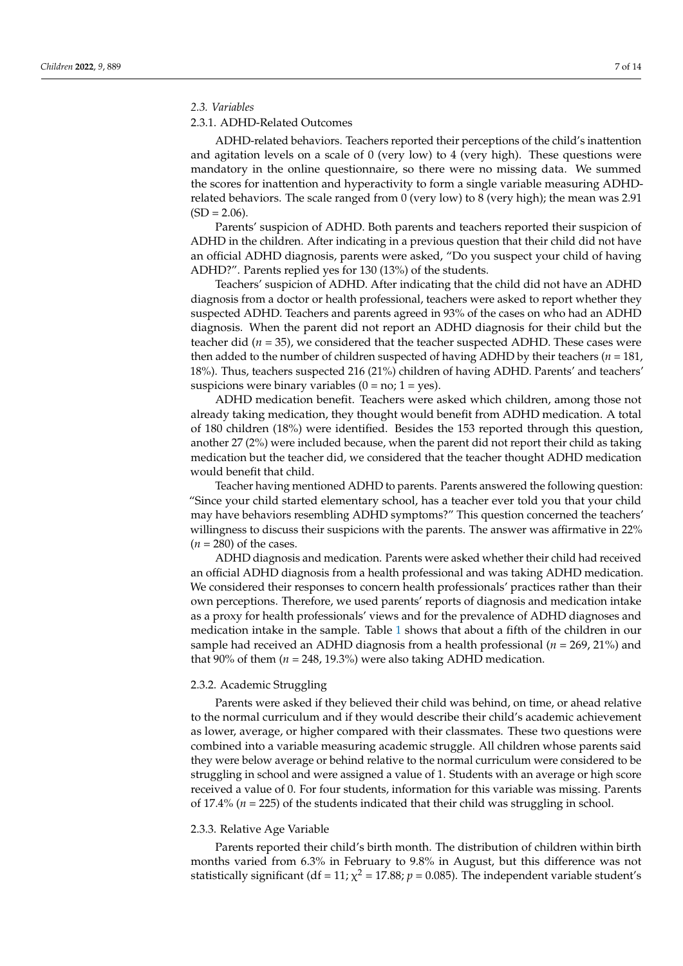2.3.1. ADHD-Related Outcomes

ADHD-related behaviors. Teachers reported their perceptions of the child's inattention and agitation levels on a scale of  $0$  (very low) to  $4$  (very high). These questions were mandatory in the online questionnaire, so there were no missing data. We summed the scores for inattention and hyperactivity to form a single variable measuring ADHDrelated behaviors. The scale ranged from 0 (very low) to 8 (very high); the mean was 2.91  $(SD = 2.06)$ .

Parents' suspicion of ADHD. Both parents and teachers reported their suspicion of ADHD in the children. After indicating in a previous question that their child did not have an official ADHD diagnosis, parents were asked, "Do you suspect your child of having ADHD?". Parents replied yes for 130 (13%) of the students.

Teachers' suspicion of ADHD. After indicating that the child did not have an ADHD diagnosis from a doctor or health professional, teachers were asked to report whether they suspected ADHD. Teachers and parents agreed in 93% of the cases on who had an ADHD diagnosis. When the parent did not report an ADHD diagnosis for their child but the teacher did  $(n = 35)$ , we considered that the teacher suspected ADHD. These cases were then added to the number of children suspected of having ADHD by their teachers (*n* = 181, 18%). Thus, teachers suspected 216 (21%) children of having ADHD. Parents' and teachers' suspicions were binary variables  $(0 = no; 1 = yes)$ .

ADHD medication benefit. Teachers were asked which children, among those not already taking medication, they thought would benefit from ADHD medication. A total of 180 children (18%) were identified. Besides the 153 reported through this question, another 27 (2%) were included because, when the parent did not report their child as taking medication but the teacher did, we considered that the teacher thought ADHD medication would benefit that child.

Teacher having mentioned ADHD to parents. Parents answered the following question: "Since your child started elementary school, has a teacher ever told you that your child may have behaviors resembling ADHD symptoms?" This question concerned the teachers' willingness to discuss their suspicions with the parents. The answer was affirmative in 22%  $(n = 280)$  of the cases.

ADHD diagnosis and medication. Parents were asked whether their child had received an official ADHD diagnosis from a health professional and was taking ADHD medication. We considered their responses to concern health professionals' practices rather than their own perceptions. Therefore, we used parents' reports of diagnosis and medication intake as a proxy for health professionals' views and for the prevalence of ADHD diagnoses and medication intake in the sample. Table [1](#page-5-0) shows that about a fifth of the children in our sample had received an ADHD diagnosis from a health professional (*n* = 269, 21%) and that 90% of them ( $n = 248$ , 19.3%) were also taking ADHD medication.

### 2.3.2. Academic Struggling

Parents were asked if they believed their child was behind, on time, or ahead relative to the normal curriculum and if they would describe their child's academic achievement as lower, average, or higher compared with their classmates. These two questions were combined into a variable measuring academic struggle. All children whose parents said they were below average or behind relative to the normal curriculum were considered to be struggling in school and were assigned a value of 1. Students with an average or high score received a value of 0. For four students, information for this variable was missing. Parents of 17.4% (*n* = 225) of the students indicated that their child was struggling in school.

#### 2.3.3. Relative Age Variable

Parents reported their child's birth month. The distribution of children within birth months varied from 6.3% in February to 9.8% in August, but this difference was not statistically significant (df = 11;  $\chi^2$  = 17.88;  $p$  = 0.085). The independent variable student's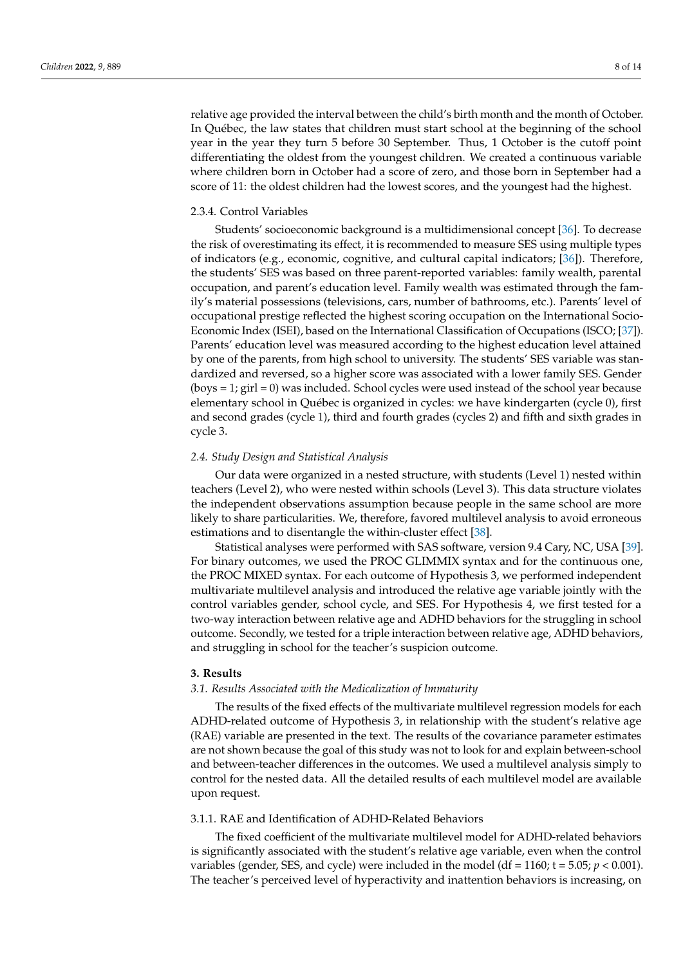relative age provided the interval between the child's birth month and the month of October. In Québec, the law states that children must start school at the beginning of the school year in the year they turn 5 before 30 September. Thus, 1 October is the cutoff point differentiating the oldest from the youngest children. We created a continuous variable where children born in October had a score of zero, and those born in September had a score of 11: the oldest children had the lowest scores, and the youngest had the highest.

## 2.3.4. Control Variables

Students' socioeconomic background is a multidimensional concept [\[36\]](#page-13-4). To decrease the risk of overestimating its effect, it is recommended to measure SES using multiple types of indicators (e.g., economic, cognitive, and cultural capital indicators; [\[36\]](#page-13-4)). Therefore, the students' SES was based on three parent-reported variables: family wealth, parental occupation, and parent's education level. Family wealth was estimated through the family's material possessions (televisions, cars, number of bathrooms, etc.). Parents' level of occupational prestige reflected the highest scoring occupation on the International Socio-Economic Index (ISEI), based on the International Classification of Occupations (ISCO; [\[37\]](#page-13-5)). Parents' education level was measured according to the highest education level attained by one of the parents, from high school to university. The students' SES variable was standardized and reversed, so a higher score was associated with a lower family SES. Gender (boys = 1; girl = 0) was included. School cycles were used instead of the school year because elementary school in Québec is organized in cycles: we have kindergarten (cycle 0), first and second grades (cycle 1), third and fourth grades (cycles 2) and fifth and sixth grades in cycle 3.

## *2.4. Study Design and Statistical Analysis*

Our data were organized in a nested structure, with students (Level 1) nested within teachers (Level 2), who were nested within schools (Level 3). This data structure violates the independent observations assumption because people in the same school are more likely to share particularities. We, therefore, favored multilevel analysis to avoid erroneous estimations and to disentangle the within-cluster effect [\[38\]](#page-13-6).

Statistical analyses were performed with SAS software, version 9.4 Cary, NC, USA [\[39\]](#page-13-7). For binary outcomes, we used the PROC GLIMMIX syntax and for the continuous one, the PROC MIXED syntax. For each outcome of Hypothesis 3, we performed independent multivariate multilevel analysis and introduced the relative age variable jointly with the control variables gender, school cycle, and SES. For Hypothesis 4, we first tested for a two-way interaction between relative age and ADHD behaviors for the struggling in school outcome. Secondly, we tested for a triple interaction between relative age, ADHD behaviors, and struggling in school for the teacher's suspicion outcome.

# **3. Results**

## *3.1. Results Associated with the Medicalization of Immaturity*

The results of the fixed effects of the multivariate multilevel regression models for each ADHD-related outcome of Hypothesis 3, in relationship with the student's relative age (RAE) variable are presented in the text. The results of the covariance parameter estimates are not shown because the goal of this study was not to look for and explain between-school and between-teacher differences in the outcomes. We used a multilevel analysis simply to control for the nested data. All the detailed results of each multilevel model are available upon request.

# 3.1.1. RAE and Identification of ADHD-Related Behaviors

The fixed coefficient of the multivariate multilevel model for ADHD-related behaviors is significantly associated with the student's relative age variable, even when the control variables (gender, SES, and cycle) were included in the model (df =  $1160$ ;  $t = 5.05$ ;  $p < 0.001$ ). The teacher's perceived level of hyperactivity and inattention behaviors is increasing, on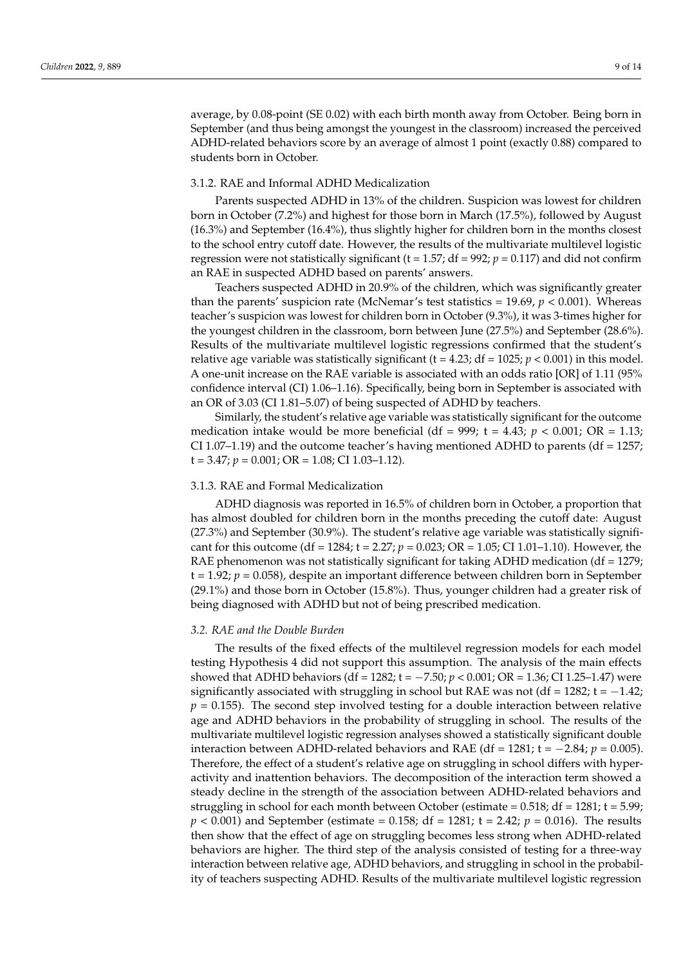average, by 0.08-point (SE 0.02) with each birth month away from October. Being born in September (and thus being amongst the youngest in the classroom) increased the perceived ADHD-related behaviors score by an average of almost 1 point (exactly 0.88) compared to students born in October.

# 3.1.2. RAE and Informal ADHD Medicalization

Parents suspected ADHD in 13% of the children. Suspicion was lowest for children born in October (7.2%) and highest for those born in March (17.5%), followed by August (16.3%) and September (16.4%), thus slightly higher for children born in the months closest to the school entry cutoff date. However, the results of the multivariate multilevel logistic regression were not statistically significant ( $t = 1.57$ ;  $df = 992$ ;  $p = 0.117$ ) and did not confirm an RAE in suspected ADHD based on parents' answers.

Teachers suspected ADHD in 20.9% of the children, which was significantly greater than the parents' suspicion rate (McNemar's test statistics =  $19.69$ ,  $p < 0.001$ ). Whereas teacher's suspicion was lowest for children born in October (9.3%), it was 3-times higher for the youngest children in the classroom, born between June (27.5%) and September (28.6%). Results of the multivariate multilevel logistic regressions confirmed that the student's relative age variable was statistically significant ( $t = 4.23$ ;  $df = 1025$ ;  $p < 0.001$ ) in this model. A one-unit increase on the RAE variable is associated with an odds ratio [OR] of 1.11 (95% confidence interval (CI) 1.06–1.16). Specifically, being born in September is associated with an OR of 3.03 (CI 1.81–5.07) of being suspected of ADHD by teachers.

Similarly, the student's relative age variable was statistically significant for the outcome medication intake would be more beneficial (df = 999;  $t = 4.43$ ;  $p < 0.001$ ; OR = 1.13; CI 1.07–1.19) and the outcome teacher's having mentioned ADHD to parents (df =  $1257$ ;  $t = 3.47$ ;  $p = 0.001$ ; OR = 1.08; CI 1.03-1.12).

# 3.1.3. RAE and Formal Medicalization

ADHD diagnosis was reported in 16.5% of children born in October, a proportion that has almost doubled for children born in the months preceding the cutoff date: August (27.3%) and September (30.9%). The student's relative age variable was statistically significant for this outcome (df = 1284; t = 2.27; *p* = 0.023; OR = 1.05; CI 1.01–1.10). However, the RAE phenomenon was not statistically significant for taking ADHD medication ( $df = 1279$ ; t = 1.92; *p* = 0.058), despite an important difference between children born in September (29.1%) and those born in October (15.8%). Thus, younger children had a greater risk of being diagnosed with ADHD but not of being prescribed medication.

#### *3.2. RAE and the Double Burden*

The results of the fixed effects of the multilevel regression models for each model testing Hypothesis 4 did not support this assumption. The analysis of the main effects showed that ADHD behaviors (df = 1282; t = −7.50; *p* < 0.001; OR = 1.36; CI 1.25–1.47) were significantly associated with struggling in school but RAE was not (df = 1282; t =  $-1.42$ ;  $p = 0.155$ ). The second step involved testing for a double interaction between relative age and ADHD behaviors in the probability of struggling in school. The results of the multivariate multilevel logistic regression analyses showed a statistically significant double interaction between ADHD-related behaviors and RAE (df = 1281;  $t = -2.84$ ;  $p = 0.005$ ). Therefore, the effect of a student's relative age on struggling in school differs with hyperactivity and inattention behaviors. The decomposition of the interaction term showed a steady decline in the strength of the association between ADHD-related behaviors and struggling in school for each month between October (estimate = 0.518; df = 1281; t = 5.99;  $p < 0.001$ ) and September (estimate = 0.158; df = 1281; t = 2.42;  $p = 0.016$ ). The results then show that the effect of age on struggling becomes less strong when ADHD-related behaviors are higher. The third step of the analysis consisted of testing for a three-way interaction between relative age, ADHD behaviors, and struggling in school in the probability of teachers suspecting ADHD. Results of the multivariate multilevel logistic regression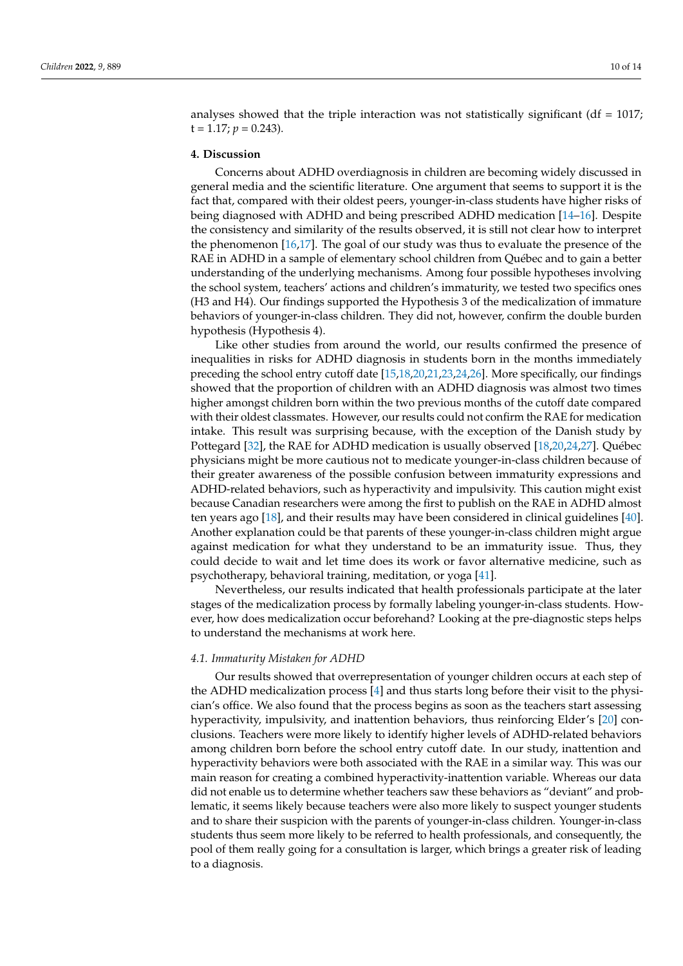analyses showed that the triple interaction was not statistically significant ( $df = 1017$ ;  $t = 1.17; p = 0.243$ .

## **4. Discussion**

Concerns about ADHD overdiagnosis in children are becoming widely discussed in general media and the scientific literature. One argument that seems to support it is the fact that, compared with their oldest peers, younger-in-class students have higher risks of being diagnosed with ADHD and being prescribed ADHD medication [\[14](#page-12-9)[–16\]](#page-12-10). Despite the consistency and similarity of the results observed, it is still not clear how to interpret the phenomenon [\[16,](#page-12-10)[17\]](#page-12-11). The goal of our study was thus to evaluate the presence of the RAE in ADHD in a sample of elementary school children from Québec and to gain a better understanding of the underlying mechanisms. Among four possible hypotheses involving the school system, teachers' actions and children's immaturity, we tested two specifics ones (H3 and H4). Our findings supported the Hypothesis 3 of the medicalization of immature behaviors of younger-in-class children. They did not, however, confirm the double burden hypothesis (Hypothesis 4).

Like other studies from around the world, our results confirmed the presence of inequalities in risks for ADHD diagnosis in students born in the months immediately preceding the school entry cutoff date [\[15](#page-12-19)[,18,](#page-12-12)[20,](#page-12-14)[21,](#page-12-21)[23](#page-12-16)[,24](#page-12-26)[,26\]](#page-12-18). More specifically, our findings showed that the proportion of children with an ADHD diagnosis was almost two times higher amongst children born within the two previous months of the cutoff date compared with their oldest classmates. However, our results could not confirm the RAE for medication intake. This result was surprising because, with the exception of the Danish study by Pottegard [\[32\]](#page-13-0), the RAE for ADHD medication is usually observed [\[18](#page-12-12)[,20](#page-12-14)[,24](#page-12-26)[,27\]](#page-12-20). Québec physicians might be more cautious not to medicate younger-in-class children because of their greater awareness of the possible confusion between immaturity expressions and ADHD-related behaviors, such as hyperactivity and impulsivity. This caution might exist because Canadian researchers were among the first to publish on the RAE in ADHD almost ten years ago [\[18\]](#page-12-12), and their results may have been considered in clinical guidelines [\[40\]](#page-13-8). Another explanation could be that parents of these younger-in-class children might argue against medication for what they understand to be an immaturity issue. Thus, they could decide to wait and let time does its work or favor alternative medicine, such as psychotherapy, behavioral training, meditation, or yoga [\[41\]](#page-13-9).

Nevertheless, our results indicated that health professionals participate at the later stages of the medicalization process by formally labeling younger-in-class students. However, how does medicalization occur beforehand? Looking at the pre-diagnostic steps helps to understand the mechanisms at work here.

#### *4.1. Immaturity Mistaken for ADHD*

Our results showed that overrepresentation of younger children occurs at each step of the ADHD medicalization process [\[4\]](#page-12-0) and thus starts long before their visit to the physician's office. We also found that the process begins as soon as the teachers start assessing hyperactivity, impulsivity, and inattention behaviors, thus reinforcing Elder's [\[20\]](#page-12-14) conclusions. Teachers were more likely to identify higher levels of ADHD-related behaviors among children born before the school entry cutoff date. In our study, inattention and hyperactivity behaviors were both associated with the RAE in a similar way. This was our main reason for creating a combined hyperactivity-inattention variable. Whereas our data did not enable us to determine whether teachers saw these behaviors as "deviant" and problematic, it seems likely because teachers were also more likely to suspect younger students and to share their suspicion with the parents of younger-in-class children. Younger-in-class students thus seem more likely to be referred to health professionals, and consequently, the pool of them really going for a consultation is larger, which brings a greater risk of leading to a diagnosis.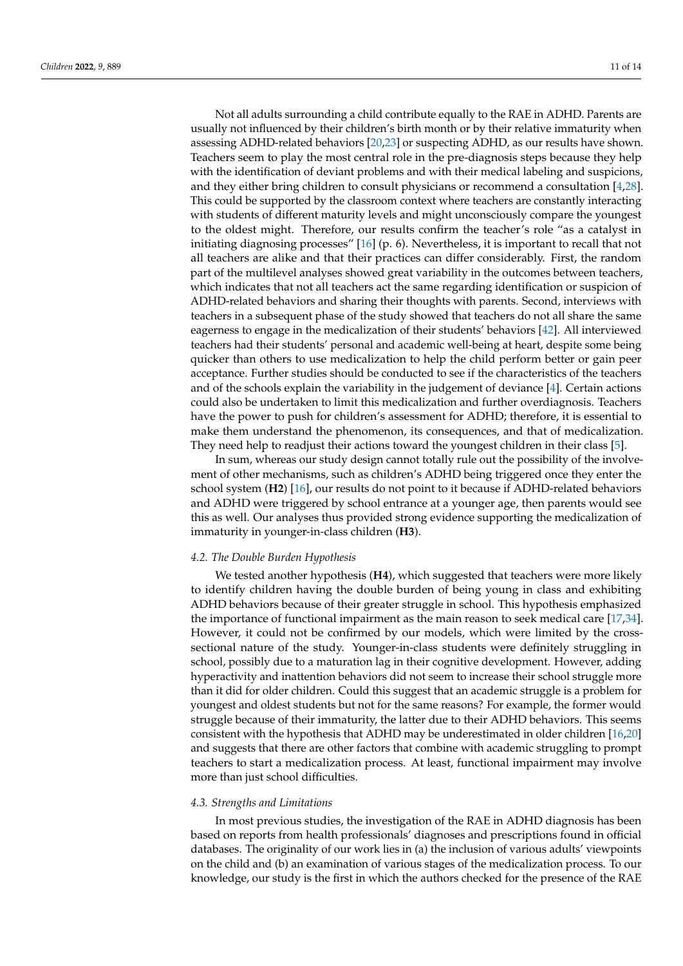Not all adults surrounding a child contribute equally to the RAE in ADHD. Parents are usually not influenced by their children's birth month or by their relative immaturity when assessing ADHD-related behaviors [\[20](#page-12-14)[,23\]](#page-12-16) or suspecting ADHD, as our results have shown. Teachers seem to play the most central role in the pre-diagnosis steps because they help with the identification of deviant problems and with their medical labeling and suspicions, and they either bring children to consult physicians or recommend a consultation [\[4,](#page-12-0)[28\]](#page-12-22). This could be supported by the classroom context where teachers are constantly interacting with students of different maturity levels and might unconsciously compare the youngest to the oldest might. Therefore, our results confirm the teacher's role "as a catalyst in initiating diagnosing processes" [\[16\]](#page-12-10) (p. 6). Nevertheless, it is important to recall that not all teachers are alike and that their practices can differ considerably. First, the random part of the multilevel analyses showed great variability in the outcomes between teachers, which indicates that not all teachers act the same regarding identification or suspicion of ADHD-related behaviors and sharing their thoughts with parents. Second, interviews with teachers in a subsequent phase of the study showed that teachers do not all share the same eagerness to engage in the medicalization of their students' behaviors [\[42\]](#page-13-10). All interviewed teachers had their students' personal and academic well-being at heart, despite some being quicker than others to use medicalization to help the child perform better or gain peer acceptance. Further studies should be conducted to see if the characteristics of the teachers and of the schools explain the variability in the judgement of deviance [\[4\]](#page-12-0). Certain actions could also be undertaken to limit this medicalization and further overdiagnosis. Teachers have the power to push for children's assessment for ADHD; therefore, it is essential to make them understand the phenomenon, its consequences, and that of medicalization. They need help to readjust their actions toward the youngest children in their class [\[5\]](#page-12-27).

In sum, whereas our study design cannot totally rule out the possibility of the involvement of other mechanisms, such as children's ADHD being triggered once they enter the school system (**H2**) [\[16\]](#page-12-10), our results do not point to it because if ADHD-related behaviors and ADHD were triggered by school entrance at a younger age, then parents would see this as well. Our analyses thus provided strong evidence supporting the medicalization of immaturity in younger-in-class children (**H3**).

## *4.2. The Double Burden Hypothesis*

We tested another hypothesis (**H4**), which suggested that teachers were more likely to identify children having the double burden of being young in class and exhibiting ADHD behaviors because of their greater struggle in school. This hypothesis emphasized the importance of functional impairment as the main reason to seek medical care [\[17,](#page-12-11)[34\]](#page-13-2). However, it could not be confirmed by our models, which were limited by the crosssectional nature of the study. Younger-in-class students were definitely struggling in school, possibly due to a maturation lag in their cognitive development. However, adding hyperactivity and inattention behaviors did not seem to increase their school struggle more than it did for older children. Could this suggest that an academic struggle is a problem for youngest and oldest students but not for the same reasons? For example, the former would struggle because of their immaturity, the latter due to their ADHD behaviors. This seems consistent with the hypothesis that ADHD may be underestimated in older children [\[16,](#page-12-10)[20\]](#page-12-14) and suggests that there are other factors that combine with academic struggling to prompt teachers to start a medicalization process. At least, functional impairment may involve more than just school difficulties.

#### *4.3. Strengths and Limitations*

In most previous studies, the investigation of the RAE in ADHD diagnosis has been based on reports from health professionals' diagnoses and prescriptions found in official databases. The originality of our work lies in (a) the inclusion of various adults' viewpoints on the child and (b) an examination of various stages of the medicalization process. To our knowledge, our study is the first in which the authors checked for the presence of the RAE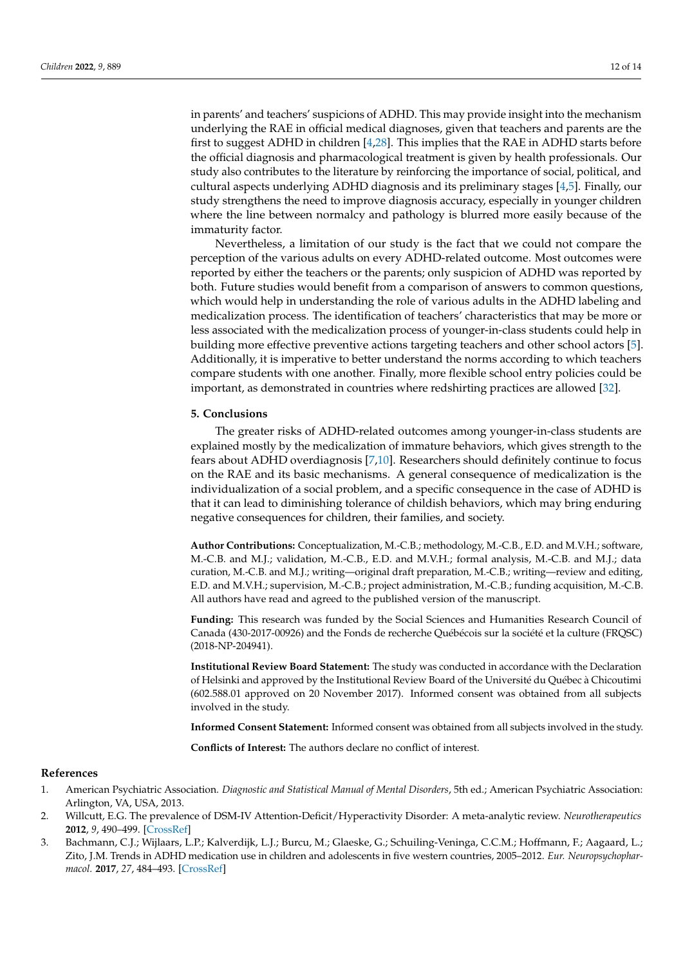in parents' and teachers' suspicions of ADHD. This may provide insight into the mechanism underlying the RAE in official medical diagnoses, given that teachers and parents are the first to suggest ADHD in children [\[4](#page-12-0)[,28\]](#page-12-22). This implies that the RAE in ADHD starts before the official diagnosis and pharmacological treatment is given by health professionals. Our study also contributes to the literature by reinforcing the importance of social, political, and cultural aspects underlying ADHD diagnosis and its preliminary stages [\[4,](#page-12-0)[5\]](#page-12-27). Finally, our study strengthens the need to improve diagnosis accuracy, especially in younger children where the line between normalcy and pathology is blurred more easily because of the immaturity factor.

Nevertheless, a limitation of our study is the fact that we could not compare the perception of the various adults on every ADHD-related outcome. Most outcomes were reported by either the teachers or the parents; only suspicion of ADHD was reported by both. Future studies would benefit from a comparison of answers to common questions, which would help in understanding the role of various adults in the ADHD labeling and medicalization process. The identification of teachers' characteristics that may be more or less associated with the medicalization process of younger-in-class students could help in building more effective preventive actions targeting teachers and other school actors [\[5\]](#page-12-27). Additionally, it is imperative to better understand the norms according to which teachers compare students with one another. Finally, more flexible school entry policies could be important, as demonstrated in countries where redshirting practices are allowed [\[32\]](#page-13-0).

## **5. Conclusions**

The greater risks of ADHD-related outcomes among younger-in-class students are explained mostly by the medicalization of immature behaviors, which gives strength to the fears about ADHD overdiagnosis [\[7,](#page-12-2)[10\]](#page-12-5). Researchers should definitely continue to focus on the RAE and its basic mechanisms. A general consequence of medicalization is the individualization of a social problem, and a specific consequence in the case of ADHD is that it can lead to diminishing tolerance of childish behaviors, which may bring enduring negative consequences for children, their families, and society.

**Author Contributions:** Conceptualization, M.-C.B.; methodology, M.-C.B., E.D. and M.V.H.; software, M.-C.B. and M.J.; validation, M.-C.B., E.D. and M.V.H.; formal analysis, M.-C.B. and M.J.; data curation, M.-C.B. and M.J.; writing—original draft preparation, M.-C.B.; writing—review and editing, E.D. and M.V.H.; supervision, M.-C.B.; project administration, M.-C.B.; funding acquisition, M.-C.B. All authors have read and agreed to the published version of the manuscript.

**Funding:** This research was funded by the Social Sciences and Humanities Research Council of Canada (430-2017-00926) and the Fonds de recherche Québécois sur la société et la culture (FRQSC) (2018-NP-204941).

**Institutional Review Board Statement:** The study was conducted in accordance with the Declaration of Helsinki and approved by the Institutional Review Board of the Université du Québec à Chicoutimi (602.588.01 approved on 20 November 2017). Informed consent was obtained from all subjects involved in the study.

**Informed Consent Statement:** Informed consent was obtained from all subjects involved in the study.

**Conflicts of Interest:** The authors declare no conflict of interest.

# **References**

- <span id="page-11-0"></span>1. American Psychiatric Association. *Diagnostic and Statistical Manual of Mental Disorders*, 5th ed.; American Psychiatric Association: Arlington, VA, USA, 2013.
- <span id="page-11-1"></span>2. Willcutt, E.G. The prevalence of DSM-IV Attention-Deficit/Hyperactivity Disorder: A meta-analytic review. *Neurotherapeutics* **2012**, *9*, 490–499. [\[CrossRef\]](http://doi.org/10.1007/s13311-012-0135-8)
- <span id="page-11-2"></span>3. Bachmann, C.J.; Wijlaars, L.P.; Kalverdijk, L.J.; Burcu, M.; Glaeske, G.; Schuiling-Veninga, C.C.M.; Hoffmann, F.; Aagaard, L.; Zito, J.M. Trends in ADHD medication use in children and adolescents in five western countries, 2005–2012. *Eur. Neuropsychopharmacol.* **2017**, *27*, 484–493. [\[CrossRef\]](http://doi.org/10.1016/j.euroneuro.2017.03.002)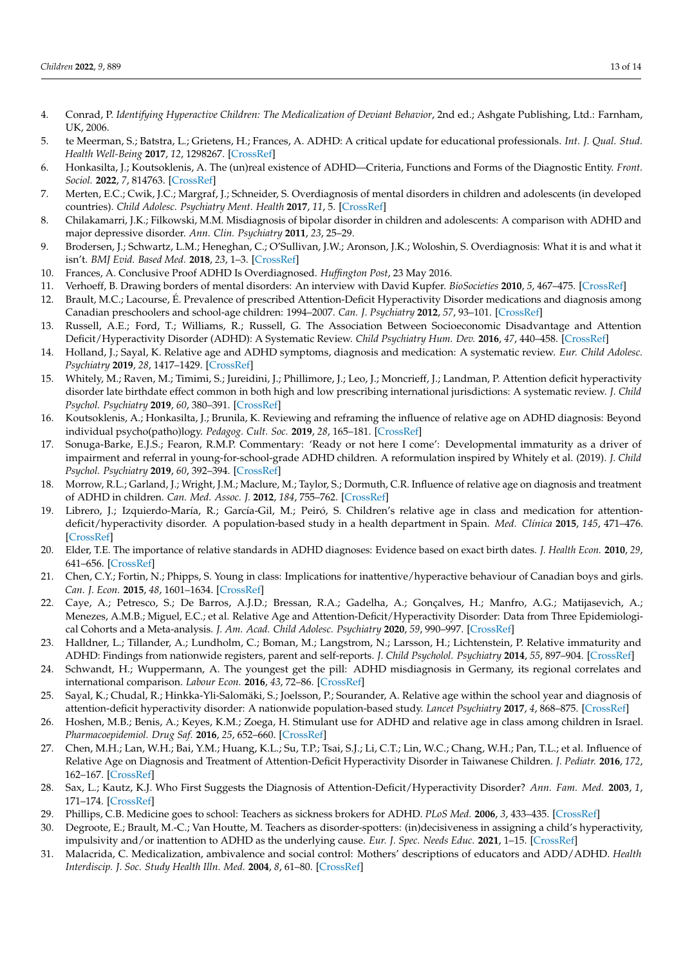- <span id="page-12-0"></span>4. Conrad, P. *Identifying Hyperactive Children: The Medicalization of Deviant Behavior*, 2nd ed.; Ashgate Publishing, Ltd.: Farnham, UK, 2006.
- <span id="page-12-27"></span>5. te Meerman, S.; Batstra, L.; Grietens, H.; Frances, A. ADHD: A critical update for educational professionals. *Int. J. Qual. Stud. Health Well-Being* **2017**, *12*, 1298267. [\[CrossRef\]](http://doi.org/10.1080/17482631.2017.1298267)
- <span id="page-12-1"></span>6. Honkasilta, J.; Koutsoklenis, A. The (un)real existence of ADHD—Criteria, Functions and Forms of the Diagnostic Entity. *Front. Sociol.* **2022**, *7*, 814763. [\[CrossRef\]](http://doi.org/10.3389/fsoc.2022.814763)
- <span id="page-12-2"></span>7. Merten, E.C.; Cwik, J.C.; Margraf, J.; Schneider, S. Overdiagnosis of mental disorders in children and adolescents (in developed countries). *Child Adolesc. Psychiatry Ment. Health* **2017**, *11*, 5. [\[CrossRef\]](http://doi.org/10.1186/s13034-016-0140-5)
- <span id="page-12-3"></span>8. Chilakamarri, J.K.; Filkowski, M.M. Misdiagnosis of bipolar disorder in children and adolescents: A comparison with ADHD and major depressive disorder. *Ann. Clin. Psychiatry* **2011**, *23*, 25–29.
- <span id="page-12-4"></span>9. Brodersen, J.; Schwartz, L.M.; Heneghan, C.; O'Sullivan, J.W.; Aronson, J.K.; Woloshin, S. Overdiagnosis: What it is and what it isn't. *BMJ Evid. Based Med.* **2018**, *23*, 1–3. [\[CrossRef\]](http://doi.org/10.1136/ebmed-2017-110886)
- <span id="page-12-5"></span>10. Frances, A. Conclusive Proof ADHD Is Overdiagnosed. *Huffington Post*, 23 May 2016.
- <span id="page-12-6"></span>11. Verhoeff, B. Drawing borders of mental disorders: An interview with David Kupfer. *BioSocieties* **2010**, *5*, 467–475. [\[CrossRef\]](http://doi.org/10.1057/biosoc.2010.24)
- <span id="page-12-7"></span>12. Brault, M.C.; Lacourse, É. Prevalence of prescribed Attention-Deficit Hyperactivity Disorder medications and diagnosis among Canadian preschoolers and school-age children: 1994–2007. *Can. J. Psychiatry* **2012**, *57*, 93–101. [\[CrossRef\]](http://doi.org/10.1177/070674371205700206)
- <span id="page-12-8"></span>13. Russell, A.E.; Ford, T.; Williams, R.; Russell, G. The Association Between Socioeconomic Disadvantage and Attention Deficit/Hyperactivity Disorder (ADHD): A Systematic Review. *Child Psychiatry Hum. Dev.* **2016**, *47*, 440–458. [\[CrossRef\]](http://doi.org/10.1007/s10578-015-0578-3)
- <span id="page-12-9"></span>14. Holland, J.; Sayal, K. Relative age and ADHD symptoms, diagnosis and medication: A systematic review. *Eur. Child Adolesc. Psychiatry* **2019**, *28*, 1417–1429. [\[CrossRef\]](http://doi.org/10.1007/s00787-018-1229-6)
- <span id="page-12-19"></span>15. Whitely, M.; Raven, M.; Timimi, S.; Jureidini, J.; Phillimore, J.; Leo, J.; Moncrieff, J.; Landman, P. Attention deficit hyperactivity disorder late birthdate effect common in both high and low prescribing international jurisdictions: A systematic review. *J. Child Psychol. Psychiatry* **2019**, *60*, 380–391. [\[CrossRef\]](http://doi.org/10.1111/jcpp.12991)
- <span id="page-12-10"></span>16. Koutsoklenis, A.; Honkasilta, J.; Brunila, K. Reviewing and reframing the influence of relative age on ADHD diagnosis: Beyond individual psycho(patho)logy. *Pedagog. Cult. Soc.* **2019**, *28*, 165–181. [\[CrossRef\]](http://doi.org/10.1080/14681366.2019.1624599)
- <span id="page-12-11"></span>17. Sonuga-Barke, E.J.S.; Fearon, R.M.P. Commentary: 'Ready or not here I come': Developmental immaturity as a driver of impairment and referral in young-for-school-grade ADHD children. A reformulation inspired by Whitely et al. (2019). *J. Child Psychol. Psychiatry* **2019**, *60*, 392–394. [\[CrossRef\]](http://doi.org/10.1111/jcpp.13039)
- <span id="page-12-12"></span>18. Morrow, R.L.; Garland, J.; Wright, J.M.; Maclure, M.; Taylor, S.; Dormuth, C.R. Influence of relative age on diagnosis and treatment of ADHD in children. *Can. Med. Assoc. J.* **2012**, *184*, 755–762. [\[CrossRef\]](http://doi.org/10.1503/cmaj.111619)
- <span id="page-12-13"></span>19. Librero, J.; Izquierdo-María, R.; García-Gil, M.; Peiró, S. Children's relative age in class and medication for attentiondeficit/hyperactivity disorder. A population-based study in a health department in Spain. *Med. Clínica* **2015**, *145*, 471–476. [\[CrossRef\]](http://doi.org/10.1016/j.medcli.2015.02.022)
- <span id="page-12-14"></span>20. Elder, T.E. The importance of relative standards in ADHD diagnoses: Evidence based on exact birth dates. *J. Health Econ.* **2010**, *29*, 641–656. [\[CrossRef\]](http://doi.org/10.1016/j.jhealeco.2010.06.003)
- <span id="page-12-21"></span>21. Chen, C.Y.; Fortin, N.; Phipps, S. Young in class: Implications for inattentive/hyperactive behaviour of Canadian boys and girls. *Can. J. Econ.* **2015**, *48*, 1601–1634. [\[CrossRef\]](http://doi.org/10.1111/caje.12174)
- <span id="page-12-15"></span>22. Caye, A.; Petresco, S.; De Barros, A.J.D.; Bressan, R.A.; Gadelha, A.; Gonçalves, H.; Manfro, A.G.; Matijasevich, A.; Menezes, A.M.B.; Miguel, E.C.; et al. Relative Age and Attention-Deficit/Hyperactivity Disorder: Data from Three Epidemiological Cohorts and a Meta-analysis. *J. Am. Acad. Child Adolesc. Psychiatry* **2020**, *59*, 990–997. [\[CrossRef\]](http://doi.org/10.1016/j.jaac.2019.07.939)
- <span id="page-12-16"></span>23. Halldner, L.; Tillander, A.; Lundholm, C.; Boman, M.; Langstrom, N.; Larsson, H.; Lichtenstein, P. Relative immaturity and ADHD: Findings from nationwide registers, parent and self-reports. *J. Child Psycholol. Psychiatry* **2014**, *55*, 897–904. [\[CrossRef\]](http://doi.org/10.1111/jcpp.12229)
- <span id="page-12-26"></span>24. Schwandt, H.; Wuppermann, A. The youngest get the pill: ADHD misdiagnosis in Germany, its regional correlates and international comparison. *Labour Econ.* **2016**, *43*, 72–86. [\[CrossRef\]](http://doi.org/10.1016/j.labeco.2016.05.018)
- <span id="page-12-17"></span>25. Sayal, K.; Chudal, R.; Hinkka-Yli-Salomäki, S.; Joelsson, P.; Sourander, A. Relative age within the school year and diagnosis of attention-deficit hyperactivity disorder: A nationwide population-based study. *Lancet Psychiatry* **2017**, *4*, 868–875. [\[CrossRef\]](http://doi.org/10.1016/S2215-0366(17)30394-2)
- <span id="page-12-18"></span>26. Hoshen, M.B.; Benis, A.; Keyes, K.M.; Zoega, H. Stimulant use for ADHD and relative age in class among children in Israel. *Pharmacoepidemiol. Drug Saf.* **2016**, *25*, 652–660. [\[CrossRef\]](http://doi.org/10.1002/pds.3962)
- <span id="page-12-20"></span>27. Chen, M.H.; Lan, W.H.; Bai, Y.M.; Huang, K.L.; Su, T.P.; Tsai, S.J.; Li, C.T.; Lin, W.C.; Chang, W.H.; Pan, T.L.; et al. Influence of Relative Age on Diagnosis and Treatment of Attention-Deficit Hyperactivity Disorder in Taiwanese Children. *J. Pediatr.* **2016**, *172*, 162–167. [\[CrossRef\]](http://doi.org/10.1016/j.jpeds.2016.02.012)
- <span id="page-12-22"></span>28. Sax, L.; Kautz, K.J. Who First Suggests the Diagnosis of Attention-Deficit/Hyperactivity Disorder? *Ann. Fam. Med.* **2003**, *1*, 171–174. [\[CrossRef\]](http://doi.org/10.1370/afm.3)
- <span id="page-12-23"></span>29. Phillips, C.B. Medicine goes to school: Teachers as sickness brokers for ADHD. *PLoS Med.* **2006**, *3*, 433–435. [\[CrossRef\]](http://doi.org/10.1371/journal.pmed.0030182)
- <span id="page-12-24"></span>30. Degroote, E.; Brault, M.-C.; Van Houtte, M. Teachers as disorder-spotters: (in)decisiveness in assigning a child's hyperactivity, impulsivity and/or inattention to ADHD as the underlying cause. *Eur. J. Spec. Needs Educ.* **2021**, 1–15. [\[CrossRef\]](http://doi.org/10.1080/08856257.2021.1934151)
- <span id="page-12-25"></span>31. Malacrida, C. Medicalization, ambivalence and social control: Mothers' descriptions of educators and ADD/ADHD. *Health Interdiscip. J. Soc. Study Health Illn. Med.* **2004**, *8*, 61–80. [\[CrossRef\]](http://doi.org/10.1177/1363459304038795)